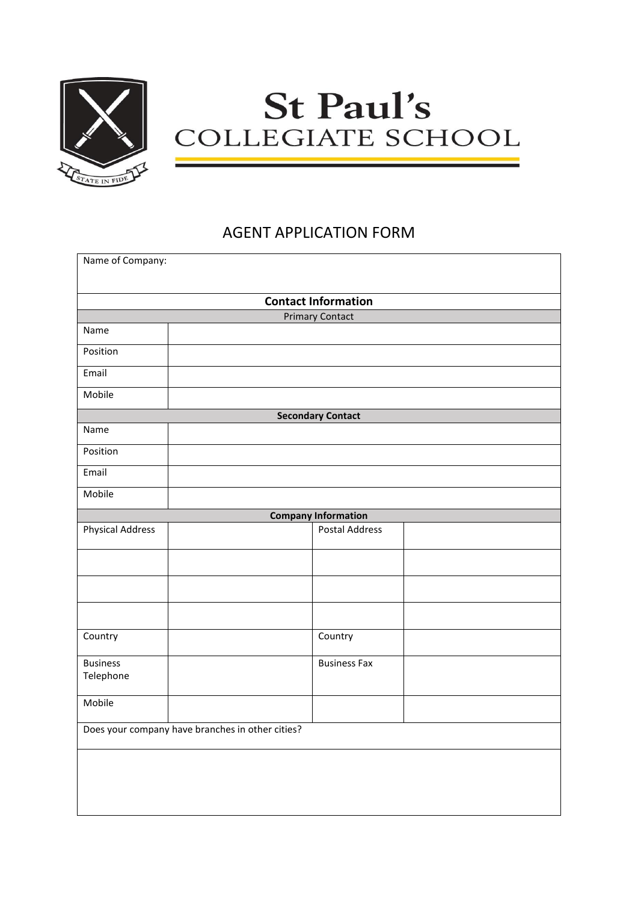

## **St Paul's** COLLEGIATE SCHOOL

## AGENT APPLICATION FORM

| Name of Company:                                     |  |                       |  |  |  |
|------------------------------------------------------|--|-----------------------|--|--|--|
|                                                      |  |                       |  |  |  |
| <b>Contact Information</b><br><b>Primary Contact</b> |  |                       |  |  |  |
| Name                                                 |  |                       |  |  |  |
|                                                      |  |                       |  |  |  |
| Position                                             |  |                       |  |  |  |
| Email                                                |  |                       |  |  |  |
| Mobile                                               |  |                       |  |  |  |
| <b>Secondary Contact</b>                             |  |                       |  |  |  |
| Name                                                 |  |                       |  |  |  |
| Position                                             |  |                       |  |  |  |
| Email                                                |  |                       |  |  |  |
| Mobile                                               |  |                       |  |  |  |
| <b>Company Information</b>                           |  |                       |  |  |  |
| <b>Physical Address</b>                              |  | <b>Postal Address</b> |  |  |  |
|                                                      |  |                       |  |  |  |
|                                                      |  |                       |  |  |  |
|                                                      |  |                       |  |  |  |
| Country                                              |  | Country               |  |  |  |
| <b>Business</b><br>Telephone                         |  | <b>Business Fax</b>   |  |  |  |
| Mobile                                               |  |                       |  |  |  |
| Does your company have branches in other cities?     |  |                       |  |  |  |
|                                                      |  |                       |  |  |  |